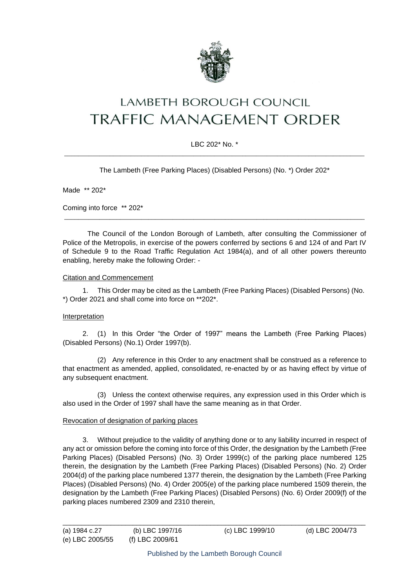

# **LAMBETH BOROUGH COUNCIL** TRAFFIC MANAGEMENT ORDER

## LBC 202\* No. \* \_\_\_\_\_\_\_\_\_\_\_\_\_\_\_\_\_\_\_\_\_\_\_\_\_\_\_\_\_\_\_\_\_\_\_\_\_\_\_\_\_\_\_\_\_\_\_\_\_\_\_\_\_\_\_\_\_\_\_\_\_\_\_\_\_\_\_\_\_\_\_\_\_\_\_\_\_\_\_\_\_\_\_\_\_\_

The Lambeth (Free Parking Places) (Disabled Persons) (No. \*) Order 202\*

Made \*\* 202\*

Coming into force \*\* 202\*

The Council of the London Borough of Lambeth, after consulting the Commissioner of Police of the Metropolis, in exercise of the powers conferred by sections 6 and 124 of and Part IV of Schedule 9 to the Road Traffic Regulation Act 1984(a), and of all other powers thereunto enabling, hereby make the following Order: -

\_\_\_\_\_\_\_\_\_\_\_\_\_\_\_\_\_\_\_\_\_\_\_\_\_\_\_\_\_\_\_\_\_\_\_\_\_\_\_\_\_\_\_\_\_\_\_\_\_\_\_\_\_\_\_\_\_\_\_\_\_\_\_\_\_\_\_\_\_\_\_\_\_\_\_\_\_\_\_\_\_\_\_\_\_\_

#### Citation and Commencement

1. This Order may be cited as the Lambeth (Free Parking Places) (Disabled Persons) (No. \*) Order 2021 and shall come into force on \*\*202\*.

## Interpretation

2. (1) In this Order "the Order of 1997" means the Lambeth (Free Parking Places) (Disabled Persons) (No.1) Order 1997(b).

(2) Any reference in this Order to any enactment shall be construed as a reference to that enactment as amended, applied, consolidated, re-enacted by or as having effect by virtue of any subsequent enactment.

(3) Unless the context otherwise requires, any expression used in this Order which is also used in the Order of 1997 shall have the same meaning as in that Order.

## Revocation of designation of parking places

3. Without prejudice to the validity of anything done or to any liability incurred in respect of any act or omission before the coming into force of this Order, the designation by the Lambeth (Free Parking Places) (Disabled Persons) (No. 3) Order 1999(c) of the parking place numbered 125 therein, the designation by the Lambeth (Free Parking Places) (Disabled Persons) (No. 2) Order 2004(d) of the parking place numbered 1377 therein, the designation by the Lambeth (Free Parking Places) (Disabled Persons) (No. 4) Order 2005(e) of the parking place numbered 1509 therein, the designation by the Lambeth (Free Parking Places) (Disabled Persons) (No. 6) Order 2009(f) of the parking places numbered 2309 and 2310 therein,

\_\_\_\_\_\_\_\_\_\_\_\_\_\_\_\_\_\_\_\_\_\_\_\_\_\_\_\_\_\_\_\_\_\_\_\_\_\_\_\_\_\_\_\_\_\_\_\_\_\_\_\_\_\_\_\_\_\_\_\_\_\_\_\_\_\_\_\_\_\_\_\_\_\_\_\_\_\_\_\_\_\_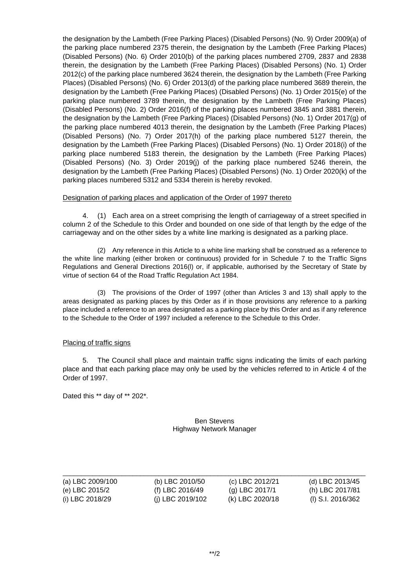the designation by the Lambeth (Free Parking Places) (Disabled Persons) (No. 9) Order 2009(a) of the parking place numbered 2375 therein, the designation by the Lambeth (Free Parking Places) (Disabled Persons) (No. 6) Order 2010(b) of the parking places numbered 2709, 2837 and 2838 therein, the designation by the Lambeth (Free Parking Places) (Disabled Persons) (No. 1) Order 2012(c) of the parking place numbered 3624 therein, the designation by the Lambeth (Free Parking Places) (Disabled Persons) (No. 6) Order 2013(d) of the parking place numbered 3689 therein, the designation by the Lambeth (Free Parking Places) (Disabled Persons) (No. 1) Order 2015(e) of the parking place numbered 3789 therein, the designation by the Lambeth (Free Parking Places) (Disabled Persons) (No. 2) Order 2016(f) of the parking places numbered 3845 and 3881 therein, the designation by the Lambeth (Free Parking Places) (Disabled Persons) (No. 1) Order 2017(g) of the parking place numbered 4013 therein, the designation by the Lambeth (Free Parking Places) (Disabled Persons) (No. 7) Order 2017(h) of the parking place numbered 5127 therein, the designation by the Lambeth (Free Parking Places) (Disabled Persons) (No. 1) Order 2018(i) of the parking place numbered 5183 therein, the designation by the Lambeth (Free Parking Places) (Disabled Persons) (No. 3) Order 2019(j) of the parking place numbered 5246 therein, the designation by the Lambeth (Free Parking Places) (Disabled Persons) (No. 1) Order 2020(k) of the parking places numbered 5312 and 5334 therein is hereby revoked.

#### Designation of parking places and application of the Order of 1997 thereto

4. (1) Each area on a street comprising the length of carriageway of a street specified in column 2 of the Schedule to this Order and bounded on one side of that length by the edge of the carriageway and on the other sides by a white line marking is designated as a parking place.

(2) Any reference in this Article to a white line marking shall be construed as a reference to the white line marking (either broken or continuous) provided for in Schedule 7 to the Traffic Signs Regulations and General Directions 2016(l) or, if applicable, authorised by the Secretary of State by virtue of section 64 of the Road Traffic Regulation Act 1984.

(3) The provisions of the Order of 1997 (other than Articles 3 and 13) shall apply to the areas designated as parking places by this Order as if in those provisions any reference to a parking place included a reference to an area designated as a parking place by this Order and as if any reference to the Schedule to the Order of 1997 included a reference to the Schedule to this Order.

## Placing of traffic signs

5. The Council shall place and maintain traffic signs indicating the limits of each parking place and that each parking place may only be used by the vehicles referred to in Article 4 of the Order of 1997.

Dated this \*\* day of \*\* 202\*.

#### Ben Stevens Highway Network Manager

| (a) LBC 2009/100 | (b) LBC 2010/50  | (c) LBC 2012/21 | (d) LBC 2013/45   |
|------------------|------------------|-----------------|-------------------|
| (e) LBC 2015/2   | (f) LBC 2016/49  | (g) LBC 2017/1  | (h) LBC 2017/81   |
| (i) LBC 2018/29  | (i) LBC 2019/102 | (k) LBC 2020/18 | (I) S.I. 2016/362 |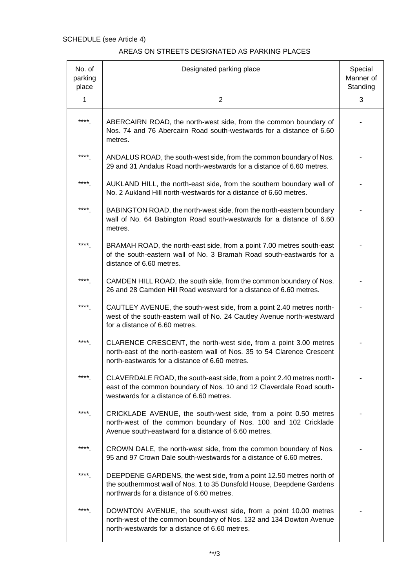| No. of<br>parking<br>place | Designated parking place                                                                                                                                                                      | Special<br>Manner of<br>Standing |
|----------------------------|-----------------------------------------------------------------------------------------------------------------------------------------------------------------------------------------------|----------------------------------|
| 1                          | $\overline{2}$                                                                                                                                                                                | 3                                |
| ****                       | ABERCAIRN ROAD, the north-west side, from the common boundary of<br>Nos. 74 and 76 Abercairn Road south-westwards for a distance of 6.60<br>metres.                                           |                                  |
| ****                       | ANDALUS ROAD, the south-west side, from the common boundary of Nos.<br>29 and 31 Andalus Road north-westwards for a distance of 6.60 metres.                                                  |                                  |
| ****                       | AUKLAND HILL, the north-east side, from the southern boundary wall of<br>No. 2 Aukland Hill north-westwards for a distance of 6.60 metres.                                                    |                                  |
| ****                       | BABINGTON ROAD, the north-west side, from the north-eastern boundary<br>wall of No. 64 Babington Road south-westwards for a distance of 6.60<br>metres.                                       |                                  |
| ****                       | BRAMAH ROAD, the north-east side, from a point 7.00 metres south-east<br>of the south-eastern wall of No. 3 Bramah Road south-eastwards for a<br>distance of 6.60 metres.                     |                                  |
| $****$                     | CAMDEN HILL ROAD, the south side, from the common boundary of Nos.<br>26 and 28 Camden Hill Road westward for a distance of 6.60 metres.                                                      |                                  |
| ****                       | CAUTLEY AVENUE, the south-west side, from a point 2.40 metres north-<br>west of the south-eastern wall of No. 24 Cautley Avenue north-westward<br>for a distance of 6.60 metres.              |                                  |
| ****                       | CLARENCE CRESCENT, the north-west side, from a point 3.00 metres<br>north-east of the north-eastern wall of Nos. 35 to 54 Clarence Crescent<br>north-eastwards for a distance of 6.60 metres. |                                  |
| ****                       | CLAVERDALE ROAD, the south-east side, from a point 2.40 metres north-<br>east of the common boundary of Nos. 10 and 12 Claverdale Road south-<br>westwards for a distance of 6.60 metres.     |                                  |
| ****                       | CRICKLADE AVENUE, the south-west side, from a point 0.50 metres<br>north-west of the common boundary of Nos. 100 and 102 Cricklade<br>Avenue south-eastward for a distance of 6.60 metres.    |                                  |
| ****                       | CROWN DALE, the north-west side, from the common boundary of Nos.<br>95 and 97 Crown Dale south-westwards for a distance of 6.60 metres.                                                      |                                  |
| ****                       | DEEPDENE GARDENS, the west side, from a point 12.50 metres north of<br>the southernmost wall of Nos. 1 to 35 Dunsfold House, Deepdene Gardens<br>northwards for a distance of 6.60 metres.    |                                  |
| ****                       | DOWNTON AVENUE, the south-west side, from a point 10.00 metres<br>north-west of the common boundary of Nos. 132 and 134 Dowton Avenue<br>north-westwards for a distance of 6.60 metres.       |                                  |